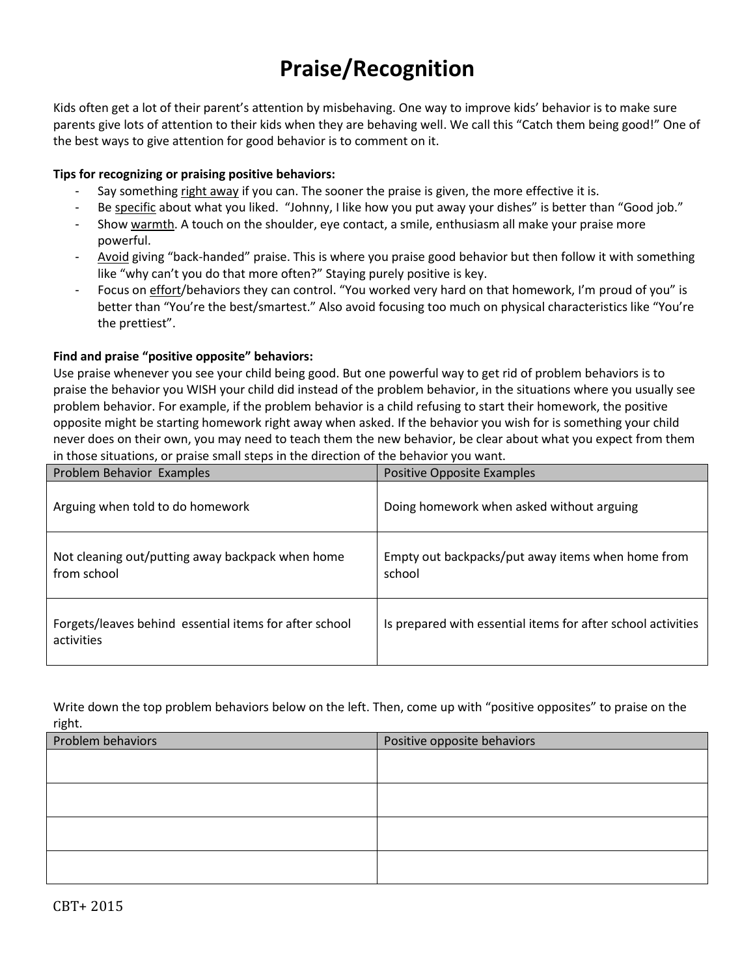# **Praise/Recognition**

Kids often get a lot of their parent's attention by misbehaving. One way to improve kids' behavior is to make sure parents give lots of attention to their kids when they are behaving well. We call this "Catch them being good!" One of the best ways to give attention for good behavior is to comment on it.

### **Tips for recognizing or praising positive behaviors:**

- Say something right away if you can. The sooner the praise is given, the more effective it is.
- Be specific about what you liked. "Johnny, I like how you put away your dishes" is better than "Good job."
- Show warmth. A touch on the shoulder, eye contact, a smile, enthusiasm all make your praise more powerful.
- Avoid giving "back-handed" praise. This is where you praise good behavior but then follow it with something like "why can't you do that more often?" Staying purely positive is key.
- Focus on effort/behaviors they can control. "You worked very hard on that homework, I'm proud of you" is better than "You're the best/smartest." Also avoid focusing too much on physical characteristics like "You're the prettiest".

## **Find and praise "positive opposite" behaviors:**

Use praise whenever you see your child being good. But one powerful way to get rid of problem behaviors is to praise the behavior you WISH your child did instead of the problem behavior, in the situations where you usually see problem behavior. For example, if the problem behavior is a child refusing to start their homework, the positive opposite might be starting homework right away when asked. If the behavior you wish for is something your child never does on their own, you may need to teach them the new behavior, be clear about what you expect from them in those situations, or praise small steps in the direction of the behavior you want.

| Problem Behavior Examples                                            | Positive Opposite Examples                                   |
|----------------------------------------------------------------------|--------------------------------------------------------------|
| Arguing when told to do homework                                     | Doing homework when asked without arguing                    |
| Not cleaning out/putting away backpack when home<br>from school      | Empty out backpacks/put away items when home from<br>school  |
| Forgets/leaves behind essential items for after school<br>activities | Is prepared with essential items for after school activities |

Write down the top problem behaviors below on the left. Then, come up with "positive opposites" to praise on the right.

| Problem behaviors | Positive opposite behaviors |  |  |  |
|-------------------|-----------------------------|--|--|--|
|                   |                             |  |  |  |
|                   |                             |  |  |  |
|                   |                             |  |  |  |
|                   |                             |  |  |  |
|                   |                             |  |  |  |
|                   |                             |  |  |  |
|                   |                             |  |  |  |
|                   |                             |  |  |  |
|                   |                             |  |  |  |